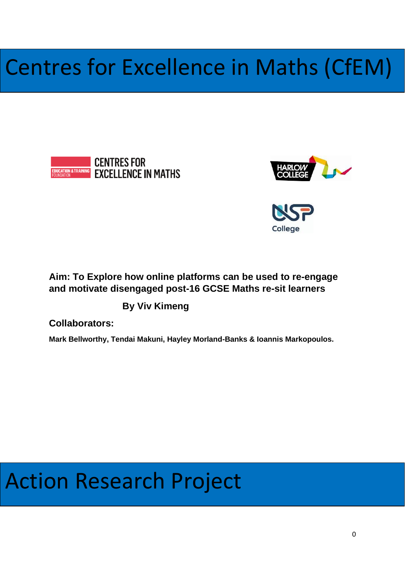# Centres for Excellence in Maths (CfEM)





College

# **Aim: To Explore how online platforms can be used to re-engage and motivate disengaged post-16 GCSE Maths re-sit learners**

**By Viv Kimeng**

**Collaborators:** 

**Mark Bellworthy, Tendai Makuni, Hayley Morland-Banks & Ioannis Markopoulos.**

# Action Research Project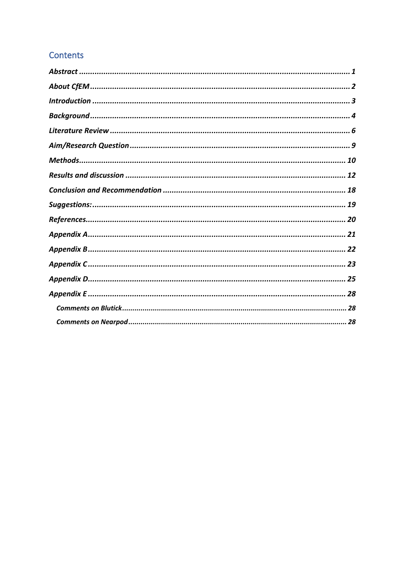# **Contents**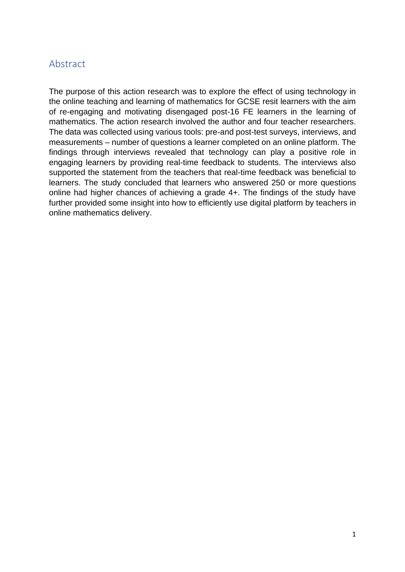# <span id="page-3-0"></span>Abstract

The purpose of this action research was to explore the effect of using technology in the online teaching and learning of mathematics for GCSE resit learners with the aim of re-engaging and motivating disengaged post-16 FE learners in the learning of mathematics. The action research involved the author and four teacher researchers. The data was collected using various tools: pre-and post-test surveys, interviews, and measurements – number of questions a learner completed on an online platform. The findings through interviews revealed that technology can play a positive role in engaging learners by providing real-time feedback to students. The interviews also supported the statement from the teachers that real-time feedback was beneficial to learners. The study concluded that learners who answered 250 or more questions online had higher chances of achieving a grade 4+. The findings of the study have further provided some insight into how to efficiently use digital platform by teachers in online mathematics delivery.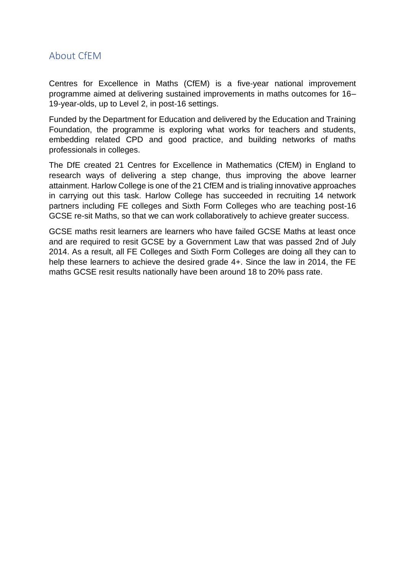# <span id="page-4-0"></span>About CfEM

Centres for Excellence in Maths (CfEM) is a five-year national improvement programme aimed at delivering sustained improvements in maths outcomes for 16– 19-year-olds, up to Level 2, in post-16 settings.

Funded by the Department for Education and delivered by the Education and Training Foundation, the programme is exploring what works for teachers and students, embedding related CPD and good practice, and building networks of maths professionals in colleges.

The DfE created 21 Centres for Excellence in Mathematics (CfEM) in England to research ways of delivering a step change, thus improving the above learner attainment. Harlow College is one of the 21 CfEM and is trialing innovative approaches in carrying out this task. Harlow College has succeeded in recruiting 14 network partners including FE colleges and Sixth Form Colleges who are teaching post-16 GCSE re-sit Maths, so that we can work collaboratively to achieve greater success.

GCSE maths resit learners are learners who have failed GCSE Maths at least once and are required to resit GCSE by a Government Law that was passed 2nd of July 2014. As a result, all FE Colleges and Sixth Form Colleges are doing all they can to help these learners to achieve the desired grade 4+. Since the law in 2014, the FE maths GCSE resit results nationally have been around 18 to 20% pass rate.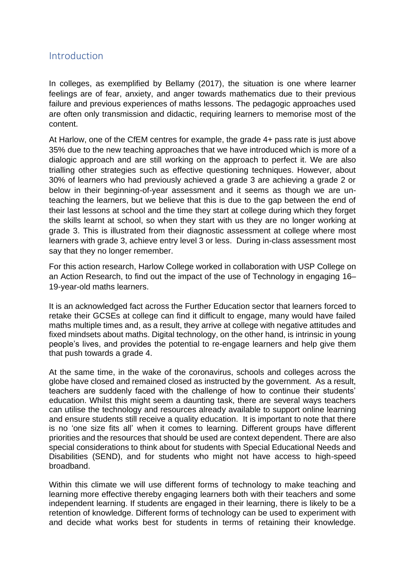# <span id="page-5-0"></span>Introduction

In colleges, as exemplified by Bellamy (2017), the situation is one where learner feelings are of fear, anxiety, and anger towards mathematics due to their previous failure and previous experiences of maths lessons. The pedagogic approaches used are often only transmission and didactic, requiring learners to memorise most of the content.

At Harlow, one of the CfEM centres for example, the grade 4+ pass rate is just above 35% due to the new teaching approaches that we have introduced which is more of a dialogic approach and are still working on the approach to perfect it. We are also trialling other strategies such as effective questioning techniques. However, about 30% of learners who had previously achieved a grade 3 are achieving a grade 2 or below in their beginning-of-year assessment and it seems as though we are unteaching the learners, but we believe that this is due to the gap between the end of their last lessons at school and the time they start at college during which they forget the skills learnt at school, so when they start with us they are no longer working at grade 3. This is illustrated from their diagnostic assessment at college where most learners with grade 3, achieve entry level 3 or less. During in-class assessment most say that they no longer remember.

For this action research, Harlow College worked in collaboration with USP College on an Action Research, to find out the impact of the use of Technology in engaging 16– 19-year-old maths learners.

It is an acknowledged fact across the Further Education sector that learners forced to retake their GCSEs at college can find it difficult to engage, many would have failed maths multiple times and, as a result, they arrive at college with negative attitudes and fixed mindsets about maths. Digital technology, on the other hand, is intrinsic in young people's lives, and provides the potential to re-engage learners and help give them that push towards a grade 4.

At the same time, in the wake of the coronavirus, schools and colleges across the globe have closed and remained closed as instructed by the government. As a result, teachers are suddenly faced with the challenge of how to continue their students' education. Whilst this might seem a daunting task, there are several ways teachers can utilise the technology and resources already available to support online learning and ensure students still receive a quality education. It is important to note that there is no 'one size fits all' when it comes to learning. Different groups have different priorities and the resources that should be used are context dependent. There are also special considerations to think about for students with Special Educational Needs and Disabilities (SEND), and for students who might not have access to high-speed broadband.

Within this climate we will use different forms of technology to make teaching and learning more effective thereby engaging learners both with their teachers and some independent learning. If students are engaged in their learning, there is likely to be a retention of knowledge. Different forms of technology can be used to experiment with and decide what works best for students in terms of retaining their knowledge.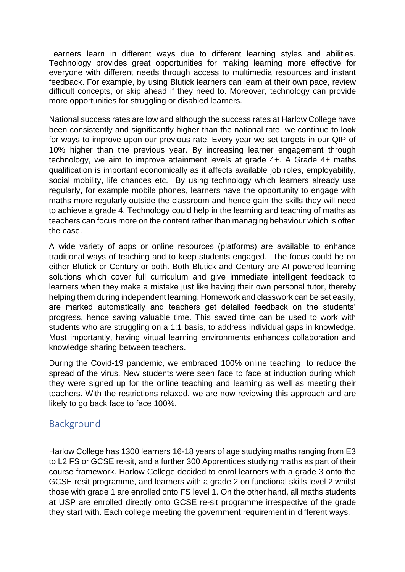Learners learn in different ways due to different learning styles and abilities. Technology provides great opportunities for making learning more effective for everyone with different needs through access to multimedia resources and instant feedback. For example, by using Blutick learners can learn at their own pace, review difficult concepts, or skip ahead if they need to. Moreover, technology can provide more opportunities for struggling or disabled learners.

National success rates are low and although the success rates at Harlow College have been consistently and significantly higher than the national rate, we continue to look for ways to improve upon our previous rate. Every year we set targets in our QIP of 10% higher than the previous year. By increasing learner engagement through technology, we aim to improve attainment levels at grade 4+. A Grade 4+ maths qualification is important economically as it affects available job roles, employability, social mobility, life chances etc. By using technology which learners already use regularly, for example mobile phones, learners have the opportunity to engage with maths more regularly outside the classroom and hence gain the skills they will need to achieve a grade 4. Technology could help in the learning and teaching of maths as teachers can focus more on the content rather than managing behaviour which is often the case.

A wide variety of apps or online resources (platforms) are available to enhance traditional ways of teaching and to keep students engaged. The focus could be on either Blutick or Century or both. Both Blutick and Century are AI powered learning solutions which cover full curriculum and give immediate intelligent feedback to learners when they make a mistake just like having their own personal tutor, thereby helping them during independent learning. Homework and classwork can be set easily, are marked automatically and teachers get detailed feedback on the students' progress, hence saving valuable time. This saved time can be used to work with students who are struggling on a 1:1 basis, to address individual gaps in knowledge. Most importantly, having virtual learning environments enhances collaboration and knowledge sharing between teachers.

During the Covid-19 pandemic, we embraced 100% online teaching, to reduce the spread of the virus. New students were seen face to face at induction during which they were signed up for the online teaching and learning as well as meeting their teachers. With the restrictions relaxed, we are now reviewing this approach and are likely to go back face to face 100%.

# <span id="page-6-0"></span>Background

Harlow College has 1300 learners 16-18 years of age studying maths ranging from E3 to L2 FS or GCSE re-sit, and a further 300 Apprentices studying maths as part of their course framework. Harlow College decided to enrol learners with a grade 3 onto the GCSE resit programme, and learners with a grade 2 on functional skills level 2 whilst those with grade 1 are enrolled onto FS level 1. On the other hand, all maths students at USP are enrolled directly onto GCSE re-sit programme irrespective of the grade they start with. Each college meeting the government requirement in different ways.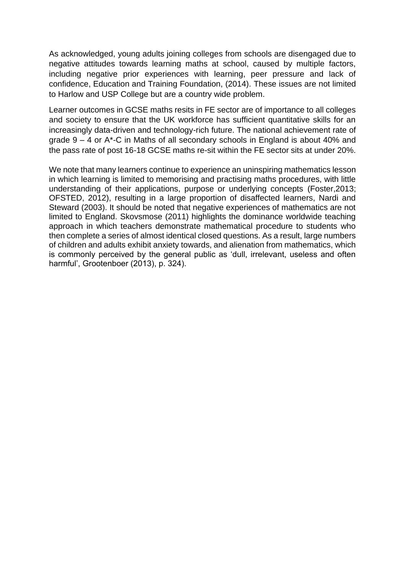As acknowledged, young adults joining colleges from schools are disengaged due to negative attitudes towards learning maths at school, caused by multiple factors, including negative prior experiences with learning, peer pressure and lack of confidence, Education and Training Foundation, (2014). These issues are not limited to Harlow and USP College but are a country wide problem.

Learner outcomes in GCSE maths resits in FE sector are of importance to all colleges and society to ensure that the UK workforce has sufficient quantitative skills for an increasingly data-driven and technology-rich future. The national achievement rate of grade 9 – 4 or A\*-C in Maths of all secondary schools in England is about 40% and the pass rate of post 16-18 GCSE maths re-sit within the FE sector sits at under 20%.

We note that many learners continue to experience an uninspiring mathematics lesson in which learning is limited to memorising and practising maths procedures, with little understanding of their applications, purpose or underlying concepts (Foster,2013; OFSTED, 2012), resulting in a large proportion of disaffected learners, Nardi and Steward (2003). It should be noted that negative experiences of mathematics are not limited to England. Skovsmose (2011) highlights the dominance worldwide teaching approach in which teachers demonstrate mathematical procedure to students who then complete a series of almost identical closed questions. As a result, large numbers of children and adults exhibit anxiety towards, and alienation from mathematics, which is commonly perceived by the general public as 'dull, irrelevant, useless and often harmful', Grootenboer (2013), p. 324).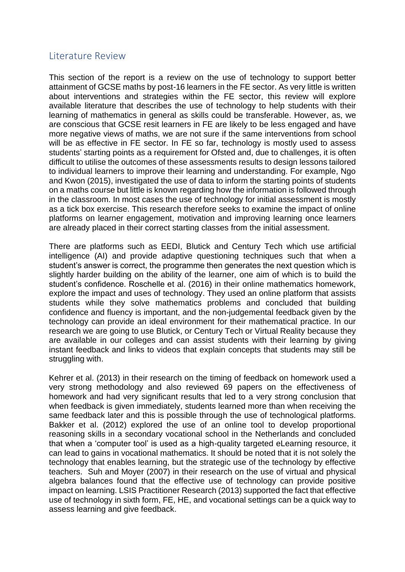# <span id="page-8-0"></span>Literature Review

This section of the report is a review on the use of technology to support better attainment of GCSE maths by post-16 learners in the FE sector. As very little is written about interventions and strategies within the FE sector, this review will explore available literature that describes the use of technology to help students with their learning of mathematics in general as skills could be transferable. However, as, we are conscious that GCSE resit learners in FE are likely to be less engaged and have more negative views of maths, we are not sure if the same interventions from school will be as effective in FE sector. In FE so far, technology is mostly used to assess students' starting points as a requirement for Ofsted and, due to challenges, it is often difficult to utilise the outcomes of these assessments results to design lessons tailored to individual learners to improve their learning and understanding. For example, Ngo and Kwon (2015), investigated the use of data to inform the starting points of students on a maths course but little is known regarding how the information is followed through in the classroom. In most cases the use of technology for initial assessment is mostly as a tick box exercise. This research therefore seeks to examine the impact of online platforms on learner engagement, motivation and improving learning once learners are already placed in their correct starting classes from the initial assessment.

There are platforms such as EEDI, Blutick and Century Tech which use artificial intelligence (AI) and provide adaptive questioning techniques such that when a student's answer is correct, the programme then generates the next question which is slightly harder building on the ability of the learner, one aim of which is to build the student's confidence. Roschelle et al. (2016) in their online mathematics homework, explore the impact and uses of technology. They used an online platform that assists students while they solve mathematics problems and concluded that building confidence and fluency is important, and the non-judgemental feedback given by the technology can provide an ideal environment for their mathematical practice. In our research we are going to use Blutick, or Century Tech or Virtual Reality because they are available in our colleges and can assist students with their learning by giving instant feedback and links to videos that explain concepts that students may still be struggling with.

Kehrer et al. (2013) in their research on the timing of feedback on homework used a very strong methodology and also reviewed 69 papers on the effectiveness of homework and had very significant results that led to a very strong conclusion that when feedback is given immediately, students learned more than when receiving the same feedback later and this is possible through the use of technological platforms. Bakker et al. (2012) explored the use of an online tool to develop proportional reasoning skills in a secondary vocational school in the Netherlands and concluded that when a 'computer tool' is used as a high-quality targeted eLearning resource, it can lead to gains in vocational mathematics. It should be noted that it is not solely the technology that enables learning, but the strategic use of the technology by effective teachers. Suh and Moyer (2007) in their research on the use of virtual and physical algebra balances found that the effective use of technology can provide positive impact on learning. LSIS Practitioner Research (2013) supported the fact that effective use of technology in sixth form, FE, HE, and vocational settings can be a quick way to assess learning and give feedback.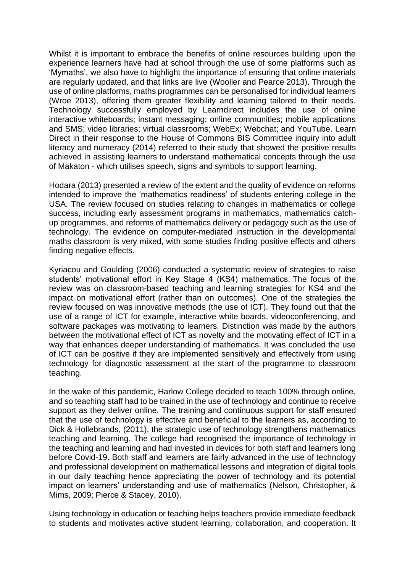Whilst it is important to embrace the benefits of online resources building upon the experience learners have had at school through the use of some platforms such as 'Mymaths', we also have to highlight the importance of ensuring that online materials are regularly updated, and that links are live (Wooller and Pearce 2013). Through the use of online platforms, maths programmes can be personalised for individual learners (Wroe 2013), offering them greater flexibility and learning tailored to their needs. Technology successfully employed by Learndirect includes the use of online interactive whiteboards; instant messaging; online communities; mobile applications and SMS; video libraries; virtual classrooms; WebEx; Webchat; and YouTube. Learn Direct in their response to the House of Commons BIS Committee inquiry into adult literacy and numeracy (2014) referred to their study that showed the positive results achieved in assisting learners to understand mathematical concepts through the use of Makaton - which utilises speech, signs and symbols to support learning.

Hodara (2013) presented a review of the extent and the quality of evidence on reforms intended to improve the 'mathematics readiness' of students entering college in the USA. The review focused on studies relating to changes in mathematics or college success, including early assessment programs in mathematics, mathematics catchup programmes, and reforms of mathematics delivery or pedagogy such as the use of technology. The evidence on computer-mediated instruction in the developmental maths classroom is very mixed, with some studies finding positive effects and others finding negative effects.

Kyriacou and Goulding (2006) conducted a systematic review of strategies to raise students' motivational effort in Key Stage 4 (KS4) mathematics. The focus of the review was on classroom-based teaching and learning strategies for KS4 and the impact on motivational effort (rather than on outcomes). One of the strategies the review focused on was innovative methods (the use of ICT). They found out that the use of a range of ICT for example, interactive white boards, videoconferencing, and software packages was motivating to learners. Distinction was made by the authors between the motivational effect of ICT as novelty and the motivating effect of ICT in a way that enhances deeper understanding of mathematics. It was concluded the use of ICT can be positive if they are implemented sensitively and effectively from using technology for diagnostic assessment at the start of the programme to classroom teaching.

In the wake of this pandemic, Harlow College decided to teach 100% through online, and so teaching staff had to be trained in the use of technology and continue to receive support as they deliver online. The training and continuous support for staff ensured that the use of technology is effective and beneficial to the learners as, according to Dick & Hollebrands, (2011), the strategic use of technology strengthens mathematics teaching and learning. The college had recognised the importance of technology in the teaching and learning and had invested in devices for both staff and learners long before Covid-19. Both staff and learners are fairly advanced in the use of technology and professional development on mathematical lessons and integration of digital tools in our daily teaching hence appreciating the power of technology and its potential impact on learners' understanding and use of mathematics (Nelson, Christopher, & Mims, 2009; Pierce & Stacey, 2010).

Using technology in education or teaching helps teachers provide immediate feedback to students and motivates active student learning, collaboration, and cooperation. It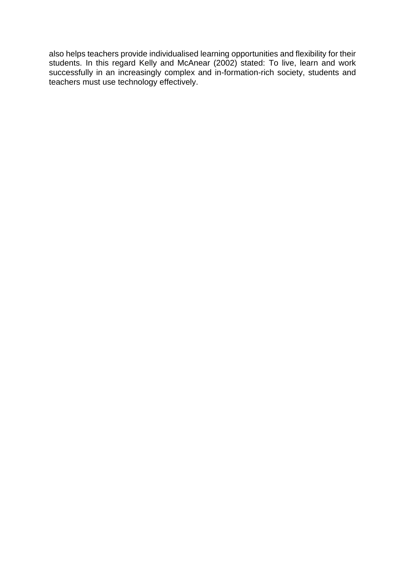also helps teachers provide individualised learning opportunities and flexibility for their students. In this regard Kelly and McAnear (2002) stated: To live, learn and work successfully in an increasingly complex and in-formation-rich society, students and teachers must use technology effectively.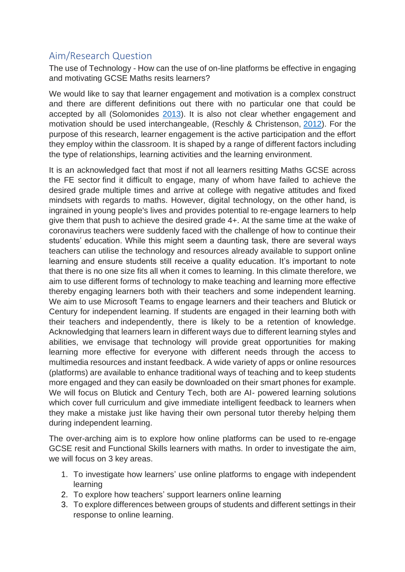# <span id="page-11-0"></span>Aim/Research Question

The use of Technology - How can the use of on-line platforms be effective in engaging and motivating GCSE Maths resits learners?

We would like to say that learner engagement and motivation is a complex construct and there are different definitions out there with no particular one that could be accepted by all (Solomonides [2013\)](https://educationaltechnologyjournal.springeropen.com/articles/10.1186/s41239-019-0176-8#ref-CR150). It is also not clear whether engagement and motivation should be used interchangeable, (Reschly & Christenson, [2012\)](https://educationaltechnologyjournal.springeropen.com/articles/10.1186/s41239-019-0176-8#ref-CR141). For the purpose of this research, learner engagement is the active participation and the effort they employ within the classroom. It is shaped by a range of different factors including the type of relationships, learning activities and the learning environment.

It is an acknowledged fact that most if not all learners resitting Maths GCSE across the FE sector find it difficult to engage, many of whom have failed to achieve the desired grade multiple times and arrive at college with negative attitudes and fixed mindsets with regards to maths. However, digital technology, on the other hand, is ingrained in young people's lives and provides potential to re-engage learners to help give them that push to achieve the desired grade 4+. At the same time at the wake of coronavirus teachers were suddenly faced with the challenge of how to continue their students' education. While this might seem a daunting task, there are several ways teachers can utilise the technology and resources already available to support online learning and ensure students still receive a quality education. It's important to note that there is no one size fits all when it comes to learning. In this climate therefore, we aim to use different forms of technology to make teaching and learning more effective thereby engaging learners both with their teachers and some independent learning. We aim to use Microsoft Teams to engage learners and their teachers and Blutick or Century for independent learning. If students are engaged in their learning both with their teachers and independently, there is likely to be a retention of knowledge. Acknowledging that learners learn in different ways due to different learning styles and abilities, we envisage that technology will provide great opportunities for making learning more effective for everyone with different needs through the access to multimedia resources and instant feedback. A wide variety of apps or online resources (platforms) are available to enhance traditional ways of teaching and to keep students more engaged and they can easily be downloaded on their smart phones for example. We will focus on Blutick and Century Tech, both are AI- powered learning solutions which cover full curriculum and give immediate intelligent feedback to learners when they make a mistake just like having their own personal tutor thereby helping them during independent learning.

The over-arching aim is to explore how online platforms can be used to re-engage GCSE resit and Functional Skills learners with maths. In order to investigate the aim, we will focus on 3 key areas.

- 1. To investigate how learners' use online platforms to engage with independent learning
- 2. To explore how teachers' support learners online learning
- 3. To explore differences between groups of students and different settings in their response to online learning.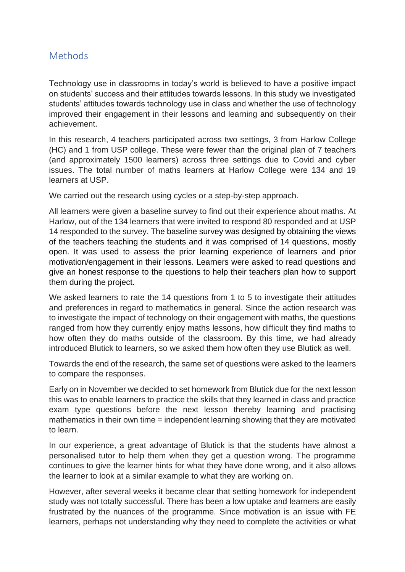# <span id="page-12-0"></span>Methods

Technology use in classrooms in today's world is believed to have a positive impact on students' success and their attitudes towards lessons. In this study we investigated students' attitudes towards technology use in class and whether the use of technology improved their engagement in their lessons and learning and subsequently on their achievement.

In this research, 4 teachers participated across two settings, 3 from Harlow College (HC) and 1 from USP college. These were fewer than the original plan of 7 teachers (and approximately 1500 learners) across three settings due to Covid and cyber issues. The total number of maths learners at Harlow College were 134 and 19 learners at USP.

We carried out the research using cycles or a step-by-step approach.

All learners were given a baseline survey to find out their experience about maths. At Harlow, out of the 134 learners that were invited to respond 80 responded and at USP 14 responded to the survey. The baseline survey was designed by obtaining the views of the teachers teaching the students and it was comprised of 14 questions, mostly open. It was used to assess the prior learning experience of learners and prior motivation/engagement in their lessons. Learners were asked to read questions and give an honest response to the questions to help their teachers plan how to support them during the project.

We asked learners to rate the 14 questions from 1 to 5 to investigate their attitudes and preferences in regard to mathematics in general. Since the action research was to investigate the impact of technology on their engagement with maths, the questions ranged from how they currently enjoy maths lessons, how difficult they find maths to how often they do maths outside of the classroom. By this time, we had already introduced Blutick to learners, so we asked them how often they use Blutick as well.

Towards the end of the research, the same set of questions were asked to the learners to compare the responses.

Early on in November we decided to set homework from Blutick due for the next lesson this was to enable learners to practice the skills that they learned in class and practice exam type questions before the next lesson thereby learning and practising mathematics in their own time = independent learning showing that they are motivated to learn.

In our experience, a great advantage of Blutick is that the students have almost a personalised tutor to help them when they get a question wrong. The programme continues to give the learner hints for what they have done wrong, and it also allows the learner to look at a similar example to what they are working on.

However, after several weeks it became clear that setting homework for independent study was not totally successful. There has been a low uptake and learners are easily frustrated by the nuances of the programme. Since motivation is an issue with FE learners, perhaps not understanding why they need to complete the activities or what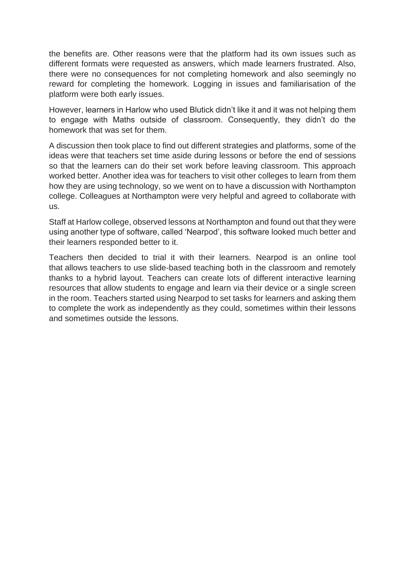the benefits are. Other reasons were that the platform had its own issues such as different formats were requested as answers, which made learners frustrated. Also, there were no consequences for not completing homework and also seemingly no reward for completing the homework. Logging in issues and familiarisation of the platform were both early issues.

However, learners in Harlow who used Blutick didn't like it and it was not helping them to engage with Maths outside of classroom. Consequently, they didn't do the homework that was set for them.

A discussion then took place to find out different strategies and platforms, some of the ideas were that teachers set time aside during lessons or before the end of sessions so that the learners can do their set work before leaving classroom. This approach worked better. Another idea was for teachers to visit other colleges to learn from them how they are using technology, so we went on to have a discussion with Northampton college. Colleagues at Northampton were very helpful and agreed to collaborate with us.

Staff at Harlow college, observed lessons at Northampton and found out that they were using another type of software, called 'Nearpod', this software looked much better and their learners responded better to it.

Teachers then decided to trial it with their learners. Nearpod is an online tool that allows teachers to use slide-based teaching both in the classroom and remotely thanks to a hybrid layout. Teachers can create lots of different interactive learning resources that allow students to engage and learn via their device or a single screen in the room. Teachers started using Nearpod to set tasks for learners and asking them to complete the work as independently as they could, sometimes within their lessons and sometimes outside the lessons.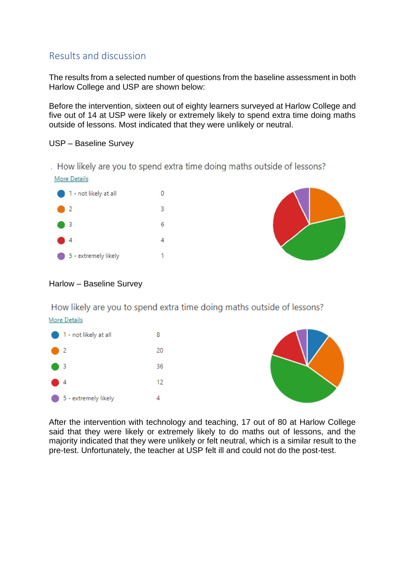# <span id="page-14-0"></span>Results and discussion

The results from a selected number of questions from the baseline assessment in both Harlow College and USP are shown below:

Before the intervention, sixteen out of eighty learners surveyed at Harlow College and five out of 14 at USP were likely or extremely likely to spend extra time doing maths outside of lessons. Most indicated that they were unlikely or neutral.

#### USP – Baseline Survey

. How likely are you to spend extra time doing maths outside of lessons?





#### Harlow – Baseline Survey

How likely are you to spend extra time doing maths outside of lessons? More Details





After the intervention with technology and teaching, 17 out of 80 at Harlow College said that they were likely or extremely likely to do maths out of lessons, and the majority indicated that they were unlikely or felt neutral, which is a similar result to the pre-test. Unfortunately, the teacher at USP felt ill and could not do the post-test.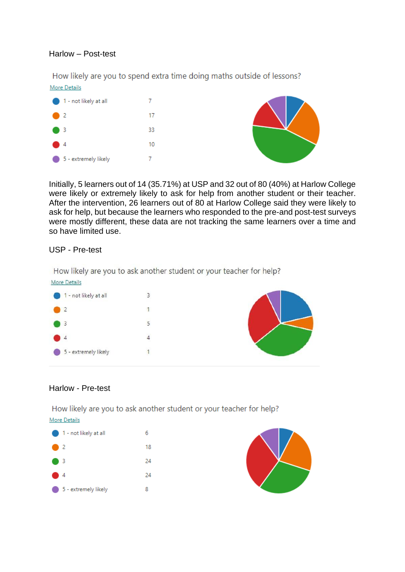#### Harlow – Post-test

How likely are you to spend extra time doing maths outside of lessons? More Details



Initially, 5 learners out of 14 (35.71%) at USP and 32 out of 80 (40%) at Harlow College were likely or extremely likely to ask for help from another student or their teacher. After the intervention, 26 learners out of 80 at Harlow College said they were likely to ask for help, but because the learners who responded to the pre-and post-test surveys were mostly different, these data are not tracking the same learners over a time and so have limited use.

#### USP - Pre-test

How likely are you to ask another student or your teacher for help?



#### Harlow - Pre-test

How likely are you to ask another student or your teacher for help? More Details



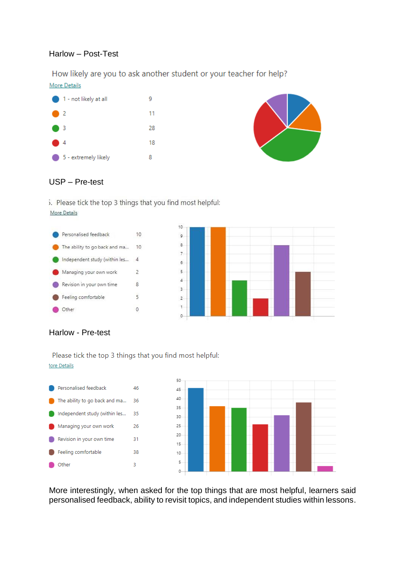#### Harlow – Post-Test

How likely are you to ask another student or your teacher for help? More Details





#### USP – Pre-test

5. Please tick the top 3 things that you find most helpful: More Details



#### Harlow - Pre-test

Please tick the top 3 things that you find most helpful: **1ore Details** 



More interestingly, when asked for the top things that are most helpful, learners said personalised feedback, ability to revisit topics, and independent studies within lessons.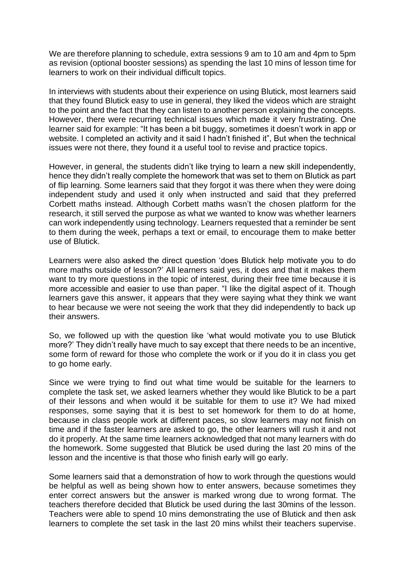We are therefore planning to schedule, extra sessions 9 am to 10 am and 4pm to 5pm as revision (optional booster sessions) as spending the last 10 mins of lesson time for learners to work on their individual difficult topics.

In interviews with students about their experience on using Blutick, most learners said that they found Blutick easy to use in general, they liked the videos which are straight to the point and the fact that they can listen to another person explaining the concepts. However, there were recurring technical issues which made it very frustrating. One learner said for example: "It has been a bit buggy, sometimes it doesn't work in app or website. I completed an activity and it said I hadn't finished it", But when the technical issues were not there, they found it a useful tool to revise and practice topics.

However, in general, the students didn't like trying to learn a new skill independently, hence they didn't really complete the homework that was set to them on Blutick as part of flip learning. Some learners said that they forgot it was there when they were doing independent study and used it only when instructed and said that they preferred Corbett maths instead. Although Corbett maths wasn't the chosen platform for the research, it still served the purpose as what we wanted to know was whether learners can work independently using technology. Learners requested that a reminder be sent to them during the week, perhaps a text or email, to encourage them to make better use of Blutick.

Learners were also asked the direct question 'does Blutick help motivate you to do more maths outside of lesson?' All learners said yes, it does and that it makes them want to try more questions in the topic of interest, during their free time because it is more accessible and easier to use than paper. "I like the digital aspect of it. Though learners gave this answer, it appears that they were saying what they think we want to hear because we were not seeing the work that they did independently to back up their answers.

So, we followed up with the question like 'what would motivate you to use Blutick more?' They didn't really have much to say except that there needs to be an incentive, some form of reward for those who complete the work or if you do it in class you get to go home early.

Since we were trying to find out what time would be suitable for the learners to complete the task set, we asked learners whether they would like Blutick to be a part of their lessons and when would it be suitable for them to use it? We had mixed responses, some saying that it is best to set homework for them to do at home, because in class people work at different paces, so slow learners may not finish on time and if the faster learners are asked to go, the other learners will rush it and not do it properly. At the same time learners acknowledged that not many learners with do the homework. Some suggested that Blutick be used during the last 20 mins of the lesson and the incentive is that those who finish early will go early.

Some learners said that a demonstration of how to work through the questions would be helpful as well as being shown how to enter answers, because sometimes they enter correct answers but the answer is marked wrong due to wrong format. The teachers therefore decided that Blutick be used during the last 30mins of the lesson. Teachers were able to spend 10 mins demonstrating the use of Blutick and then ask learners to complete the set task in the last 20 mins whilst their teachers supervise.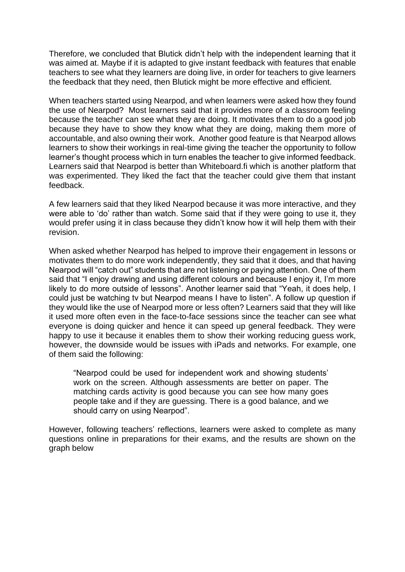Therefore, we concluded that Blutick didn't help with the independent learning that it was aimed at. Maybe if it is adapted to give instant feedback with features that enable teachers to see what they learners are doing live, in order for teachers to give learners the feedback that they need, then Blutick might be more effective and efficient.

When teachers started using Nearpod, and when learners were asked how they found the use of Nearpod? Most learners said that it provides more of a classroom feeling because the teacher can see what they are doing. It motivates them to do a good job because they have to show they know what they are doing, making them more of accountable, and also owning their work. Another good feature is that Nearpod allows learners to show their workings in real-time giving the teacher the opportunity to follow learner's thought process which in turn enables the teacher to give informed feedback. Learners said that Nearpod is better than Whiteboard.fi which is another platform that was experimented. They liked the fact that the teacher could give them that instant feedback.

A few learners said that they liked Nearpod because it was more interactive, and they were able to 'do' rather than watch. Some said that if they were going to use it, they would prefer using it in class because they didn't know how it will help them with their revision.

When asked whether Nearpod has helped to improve their engagement in lessons or motivates them to do more work independently, they said that it does, and that having Nearpod will "catch out" students that are not listening or paying attention. One of them said that "I enjoy drawing and using different colours and because I enjoy it, I'm more likely to do more outside of lessons". Another learner said that "Yeah, it does help, I could just be watching tv but Nearpod means I have to listen". A follow up question if they would like the use of Nearpod more or less often? Learners said that they will like it used more often even in the face-to-face sessions since the teacher can see what everyone is doing quicker and hence it can speed up general feedback. They were happy to use it because it enables them to show their working reducing guess work, however, the downside would be issues with iPads and networks. For example, one of them said the following:

"Nearpod could be used for independent work and showing students' work on the screen. Although assessments are better on paper. The matching cards activity is good because you can see how many goes people take and if they are guessing. There is a good balance, and we should carry on using Nearpod".

However, following teachers' reflections, learners were asked to complete as many questions online in preparations for their exams, and the results are shown on the graph below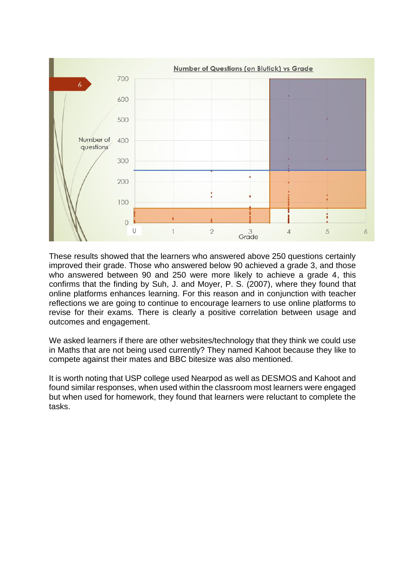

These results showed that the learners who answered above 250 questions certainly improved their grade. Those who answered below 90 achieved a grade 3, and those who answered between 90 and 250 were more likely to achieve a grade 4, this confirms that the finding by Suh, J. and Moyer, P. S. (2007), where they found that online platforms enhances learning. For this reason and in conjunction with teacher reflections we are going to continue to encourage learners to use online platforms to revise for their exams. There is clearly a positive correlation between usage and outcomes and engagement.

We asked learners if there are other websites/technology that they think we could use in Maths that are not being used currently? They named Kahoot because they like to compete against their mates and BBC bitesize was also mentioned.

It is worth noting that USP college used Nearpod as well as DESMOS and Kahoot and found similar responses, when used within the classroom most learners were engaged but when used for homework, they found that learners were reluctant to complete the tasks.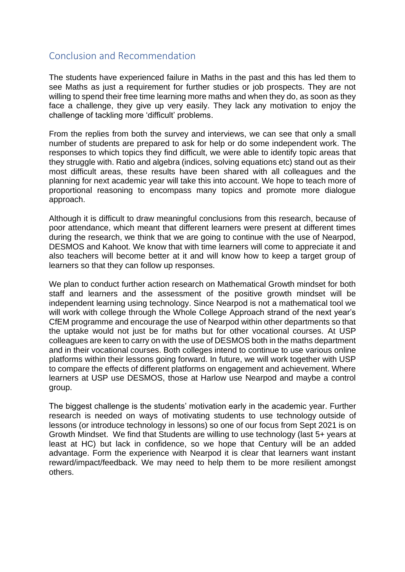# <span id="page-20-0"></span>Conclusion and Recommendation

The students have experienced failure in Maths in the past and this has led them to see Maths as just a requirement for further studies or job prospects. They are not willing to spend their free time learning more maths and when they do, as soon as they face a challenge, they give up very easily. They lack any motivation to enjoy the challenge of tackling more 'difficult' problems.

From the replies from both the survey and interviews, we can see that only a small number of students are prepared to ask for help or do some independent work. The responses to which topics they find difficult, we were able to identify topic areas that they struggle with. Ratio and algebra (indices, solving equations etc) stand out as their most difficult areas, these results have been shared with all colleagues and the planning for next academic year will take this into account. We hope to teach more of proportional reasoning to encompass many topics and promote more dialogue approach.

Although it is difficult to draw meaningful conclusions from this research, because of poor attendance, which meant that different learners were present at different times during the research, we think that we are going to continue with the use of Nearpod, DESMOS and Kahoot. We know that with time learners will come to appreciate it and also teachers will become better at it and will know how to keep a target group of learners so that they can follow up responses.

We plan to conduct further action research on Mathematical Growth mindset for both staff and learners and the assessment of the positive growth mindset will be independent learning using technology. Since Nearpod is not a mathematical tool we will work with college through the Whole College Approach strand of the next year's CfEM programme and encourage the use of Nearpod within other departments so that the uptake would not just be for maths but for other vocational courses. At USP colleagues are keen to carry on with the use of DESMOS both in the maths department and in their vocational courses. Both colleges intend to continue to use various online platforms within their lessons going forward. In future, we will work together with USP to compare the effects of different platforms on engagement and achievement. Where learners at USP use DESMOS, those at Harlow use Nearpod and maybe a control group.

The biggest challenge is the students' motivation early in the academic year. Further research is needed on ways of motivating students to use technology outside of lessons (or introduce technology in lessons) so one of our focus from Sept 2021 is on Growth Mindset. We find that Students are willing to use technology (last 5+ years at least at HC) but lack in confidence, so we hope that Century will be an added advantage. Form the experience with Nearpod it is clear that learners want instant reward/impact/feedback. We may need to help them to be more resilient amongst others.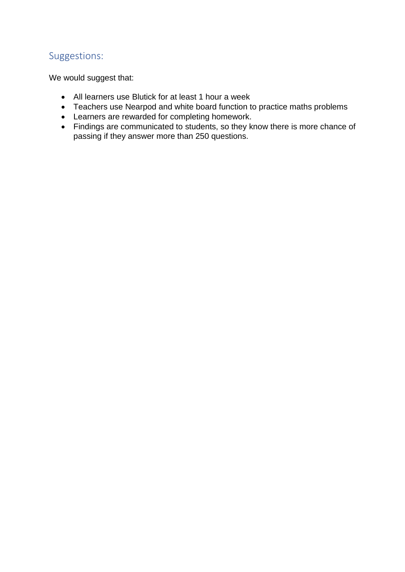# <span id="page-21-0"></span>Suggestions:

We would suggest that:

- All learners use Blutick for at least 1 hour a week
- Teachers use Nearpod and white board function to practice maths problems
- Learners are rewarded for completing homework.
- Findings are communicated to students, so they know there is more chance of passing if they answer more than 250 questions.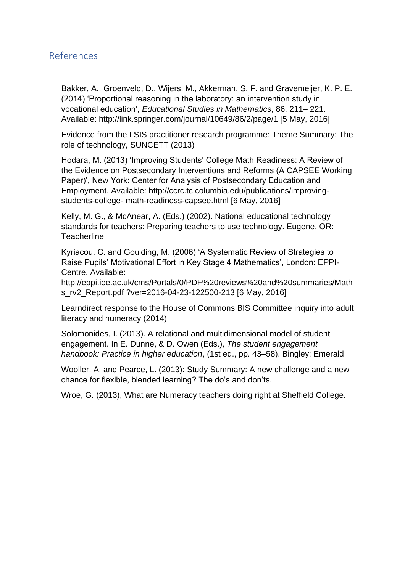# <span id="page-22-0"></span>References

Bakker, A., Groenveld, D., Wijers, M., Akkerman, S. F. and Gravemeijer, K. P. E. (2014) 'Proportional reasoning in the laboratory: an intervention study in vocational education', *Educational Studies in Mathematics*, 86, 211– 221. Available: http://link.springer.com/journal/10649/86/2/page/1 [5 May, 2016]

Evidence from the LSIS practitioner research programme: Theme Summary: The role of technology, SUNCETT (2013)

Hodara, M. (2013) 'Improving Students' College Math Readiness: A Review of the Evidence on Postsecondary Interventions and Reforms (A CAPSEE Working Paper)', New York: Center for Analysis of Postsecondary Education and Employment. Available: http://ccrc.tc.columbia.edu/publications/improvingstudents-college- math-readiness-capsee.html [6 May, 2016]

Kelly, M. G., & McAnear, A. (Eds.) (2002). National educational technology standards for teachers: Preparing teachers to use technology. Eugene, OR: **Teacherline** 

Kyriacou, C. and Goulding, M. (2006) 'A Systematic Review of Strategies to Raise Pupils' Motivational Effort in Key Stage 4 Mathematics', London: EPPI-Centre. Available:

http://eppi.ioe.ac.uk/cms/Portals/0/PDF%20reviews%20and%20summaries/Math s\_rv2\_Report.pdf ?ver=2016-04-23-122500-213 [6 May, 2016]

Learndirect response to the House of Commons BIS Committee inquiry into adult literacy and numeracy (2014)

Solomonides, I. (2013). A relational and multidimensional model of student engagement. In E. Dunne, & D. Owen (Eds.), *The student engagement handbook: Practice in higher education*, (1st ed., pp. 43–58). Bingley: Emerald

Wooller, A. and Pearce, L. (2013): Study Summary: A new challenge and a new chance for flexible, blended learning? The do's and don'ts.

Wroe, G. (2013), What are Numeracy teachers doing right at Sheffield College.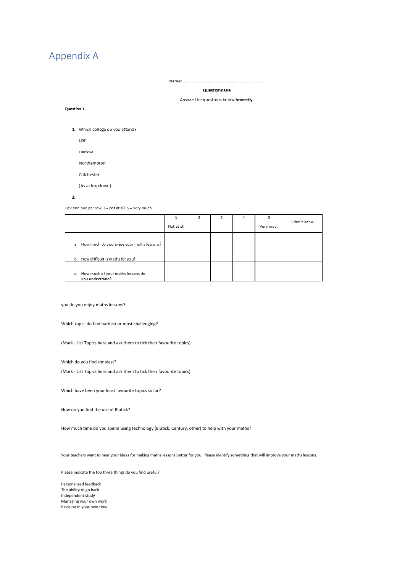# <span id="page-23-0"></span>Appendix A

Name: ...........

Questionnaire

#### Answer the questions below honestly.

#### Question 1.

1. Which college do you attend?

**USP** 

Harlow

Northampton

Colchester

(As a dropdown)

#### 2.

Tick one box per row. 1= not at all. 5 = very much

|                                                         | Not at all | 3 | 4 | Very much | I don't know |
|---------------------------------------------------------|------------|---|---|-----------|--------------|
| a. How much do you enjoy your maths lessons?            |            |   |   |           |              |
| b. How difficult is maths for you?                      |            |   |   |           |              |
| c. How much of your maths lessons do<br>you understand? |            |   |   |           |              |

you do you enjoy maths lessons?

Which topic do find hardest or most challenging?

(Mark - List Topics here and ask them to tick their favourite topics)

Which do you find simplest?

(Mark - List Topics here and ask them to tick their favourite topics)

Which have been your least favourite topics so far?

How do you find the use of Blutick?

How much time do you spend using technology (Blutick, Century, other) to help with your maths?

Your teachers want to hear your ideas for making maths lessons better for you. Please identify something that will improve your maths lessons.

Please indicate the top three things do you find useful?

Personalised feedback The ability to go back Independent study Managing your own work Revision in your own time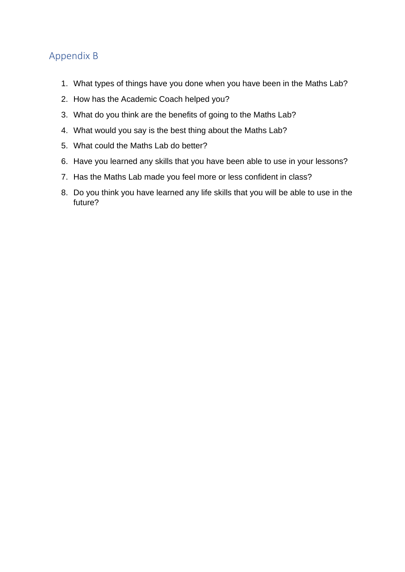# <span id="page-24-0"></span>Appendix B

- 1. What types of things have you done when you have been in the Maths Lab?
- 2. How has the Academic Coach helped you?
- 3. What do you think are the benefits of going to the Maths Lab?
- 4. What would you say is the best thing about the Maths Lab?
- 5. What could the Maths Lab do better?
- 6. Have you learned any skills that you have been able to use in your lessons?
- 7. Has the Maths Lab made you feel more or less confident in class?
- 8. Do you think you have learned any life skills that you will be able to use in the future?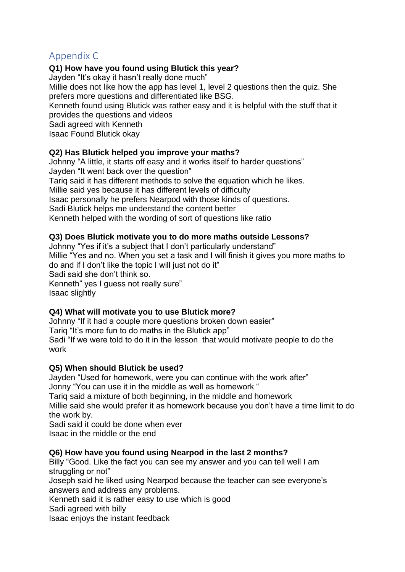# <span id="page-25-0"></span>Appendix C

## **Q1) How have you found using Blutick this year?**

Jayden "It's okay it hasn't really done much"

Millie does not like how the app has level 1, level 2 questions then the quiz. She prefers more questions and differentiated like BSG.

Kenneth found using Blutick was rather easy and it is helpful with the stuff that it provides the questions and videos

Sadi agreed with Kenneth

Isaac Found Blutick okay

#### **Q2) Has Blutick helped you improve your maths?**

Johnny "A little, it starts off easy and it works itself to harder questions" Jayden "It went back over the question"

Tariq said it has different methods to solve the equation which he likes.

Millie said yes because it has different levels of difficulty

Isaac personally he prefers Nearpod with those kinds of questions.

Sadi Blutick helps me understand the content better

Kenneth helped with the wording of sort of questions like ratio

#### **Q3) Does Blutick motivate you to do more maths outside Lessons?**

Johnny "Yes if it's a subject that I don't particularly understand"

Millie "Yes and no. When you set a task and I will finish it gives you more maths to do and if I don't like the topic I will just not do it"

Sadi said she don't think so.

Kenneth" yes I guess not really sure" Isaac slightly

## **Q4) What will motivate you to use Blutick more?**

Johnny "If it had a couple more questions broken down easier" Tariq "It's more fun to do maths in the Blutick app"

Sadi "If we were told to do it in the lesson that would motivate people to do the work

## **Q5) When should Blutick be used?**

Jayden "Used for homework, were you can continue with the work after" Jonny "You can use it in the middle as well as homework "

Tariq said a mixture of both beginning, in the middle and homework

Millie said she would prefer it as homework because you don't have a time limit to do the work by.

Sadi said it could be done when ever Isaac in the middle or the end

## **Q6) How have you found using Nearpod in the last 2 months?**

Billy "Good. Like the fact you can see my answer and you can tell well I am struggling or not"

Joseph said he liked using Nearpod because the teacher can see everyone's answers and address any problems.

Kenneth said it is rather easy to use which is good

Sadi agreed with billy

Isaac enjoys the instant feedback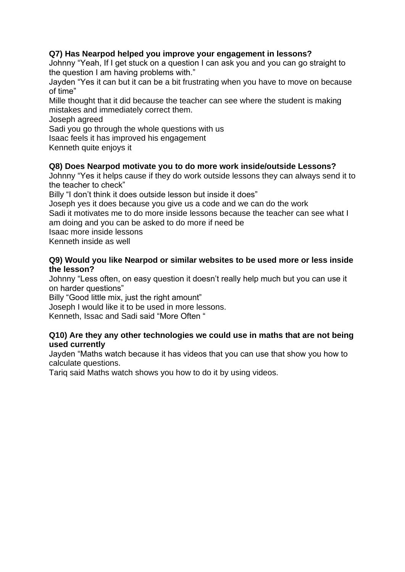## **Q7) Has Nearpod helped you improve your engagement in lessons?**

Johnny "Yeah, If I get stuck on a question I can ask you and you can go straight to the question I am having problems with."

Jayden "Yes it can but it can be a bit frustrating when you have to move on because of time"

Mille thought that it did because the teacher can see where the student is making mistakes and immediately correct them.

Joseph agreed

Sadi you go through the whole questions with us

Isaac feels it has improved his engagement

Kenneth quite enjoys it

## **Q8) Does Nearpod motivate you to do more work inside/outside Lessons?**

Johnny "Yes it helps cause if they do work outside lessons they can always send it to the teacher to check"

Billy "I don't think it does outside lesson but inside it does"

Joseph yes it does because you give us a code and we can do the work Sadi it motivates me to do more inside lessons because the teacher can see what I am doing and you can be asked to do more if need be

Isaac more inside lessons

Kenneth inside as well

#### **Q9) Would you like Nearpod or similar websites to be used more or less inside the lesson?**

Johnny "Less often, on easy question it doesn't really help much but you can use it on harder questions"

Billy "Good little mix, just the right amount"

Joseph I would like it to be used in more lessons.

Kenneth, Issac and Sadi said "More Often "

#### **Q10) Are they any other technologies we could use in maths that are not being used currently**

Jayden "Maths watch because it has videos that you can use that show you how to calculate questions.

Tariq said Maths watch shows you how to do it by using videos.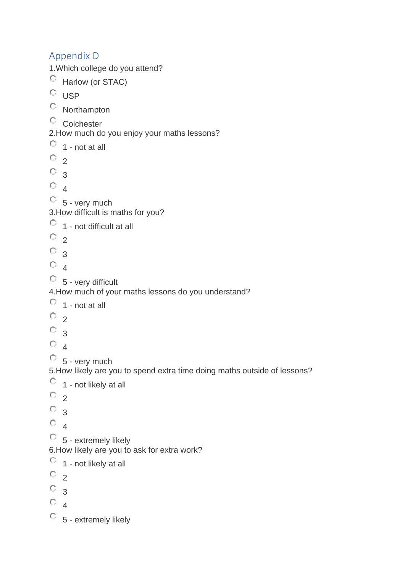# <span id="page-27-0"></span>Appendix D 1.Which college do you attend? Harlow (or STAC)  $\circ$  USP Northampton <sup>C</sup> Colchester 2.How much do you enjoy your maths lessons?  $\circ$  1 - not at all  $\circ$  2  $\circ$  3  $\circ$ <sub>4</sub>  $\circ$  5 - very much 3.How difficult is maths for you?  $\circ$  1 - not difficult at all  $\circ$  2  $\circ$  3  $\circ$  4 5 - very difficult 4.How much of your maths lessons do you understand?  $\circ$  1 - not at all  $\circ$  2  $\circ$  3  $\circ$  4  $\circ$  5 - very much 5.How likely are you to spend extra time doing maths outside of lessons?  $\circ$  1 - not likely at all  $\circ$  2  $\circ$  3  $\circ$  4  $\begin{bmatrix} 5 & -6x\end{bmatrix}$  extremely likely 6.How likely are you to ask for extra work?  $\circ$  1 - not likely at all  $\circ$  2  $\circ$  3  $\circ$  4  $\begin{bmatrix} 5 & -6x\end{bmatrix}$  extremely likely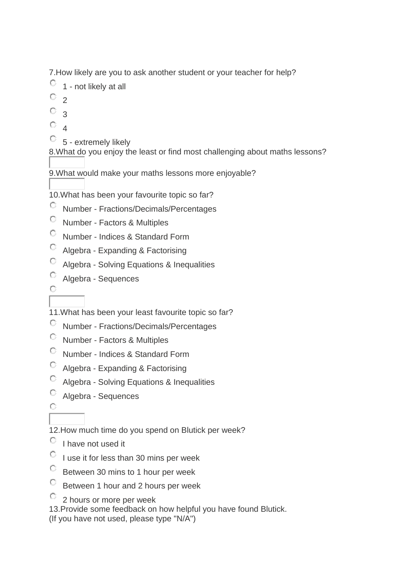7.How likely are you to ask another student or your teacher for help?

- $\circ$  1 not likely at all
- $\overline{O}$  2
- $\circ$  3
- $\circ$  4
- $\begin{array}{cc} \circ \\ \circ \\ \circ \end{array}$  5 extremely likely

8.What do you enjoy the least or find most challenging about maths lessons?

9.What would make your maths lessons more enjoyable?

10.What has been your favourite topic so far?

- $\mathbb{C}^-$ Number - Fractions/Decimals/Percentages
- $\mathbb{C}^-$ Number - Factors & Multiples
- $\mathbb{C}^-$ Number - Indices & Standard Form
- Algebra Expanding & Factorising
- Algebra Solving Equations & Inequalities
- $\mathbb{C}^-$ Algebra - Sequences
- $\circ$

11.What has been your least favourite topic so far?

- Number Fractions/Decimals/Percentages
- О. Number - Factors & Multiples
- $\mathbb{C}^-$ Number - Indices & Standard Form
- О. Algebra - Expanding & Factorising
- Algebra Solving Equations & Inequalities
- Algebra Sequences
- $\bigcap$

12.How much time do you spend on Blutick per week?

- $\circ$  I have not used it
- $\degree$  I use it for less than 30 mins per week
- $\mathbb{C}^-$ Between 30 mins to 1 hour per week
- $\bigcirc$  . Between 1 hour and 2 hours per week
- <sup>2</sup> 2 hours or more per week

13.Provide some feedback on how helpful you have found Blutick.

(If you have not used, please type "N/A")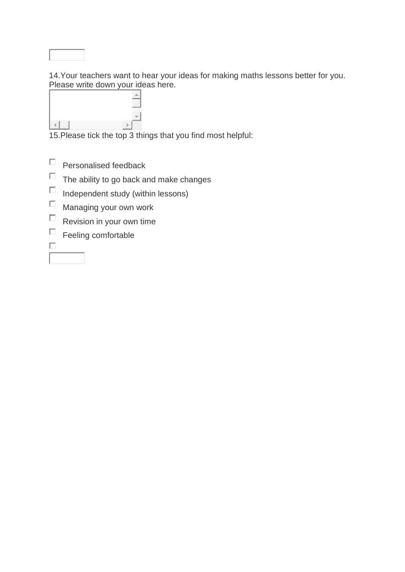

14.Your teachers want to hear your ideas for making maths lessons better for you. Please write down your ideas here.



15.Please tick the top 3 things that you find most helpful:

- $\Box$ Personalised feedback
- $\Box$  The ability to go back and make changes
- $\Box$ Independent study (within lessons)
- $\Box$ Managing your own work
- $\Box$  Revision in your own time
- $\Box$ Feeling comfortable
- $\Box$